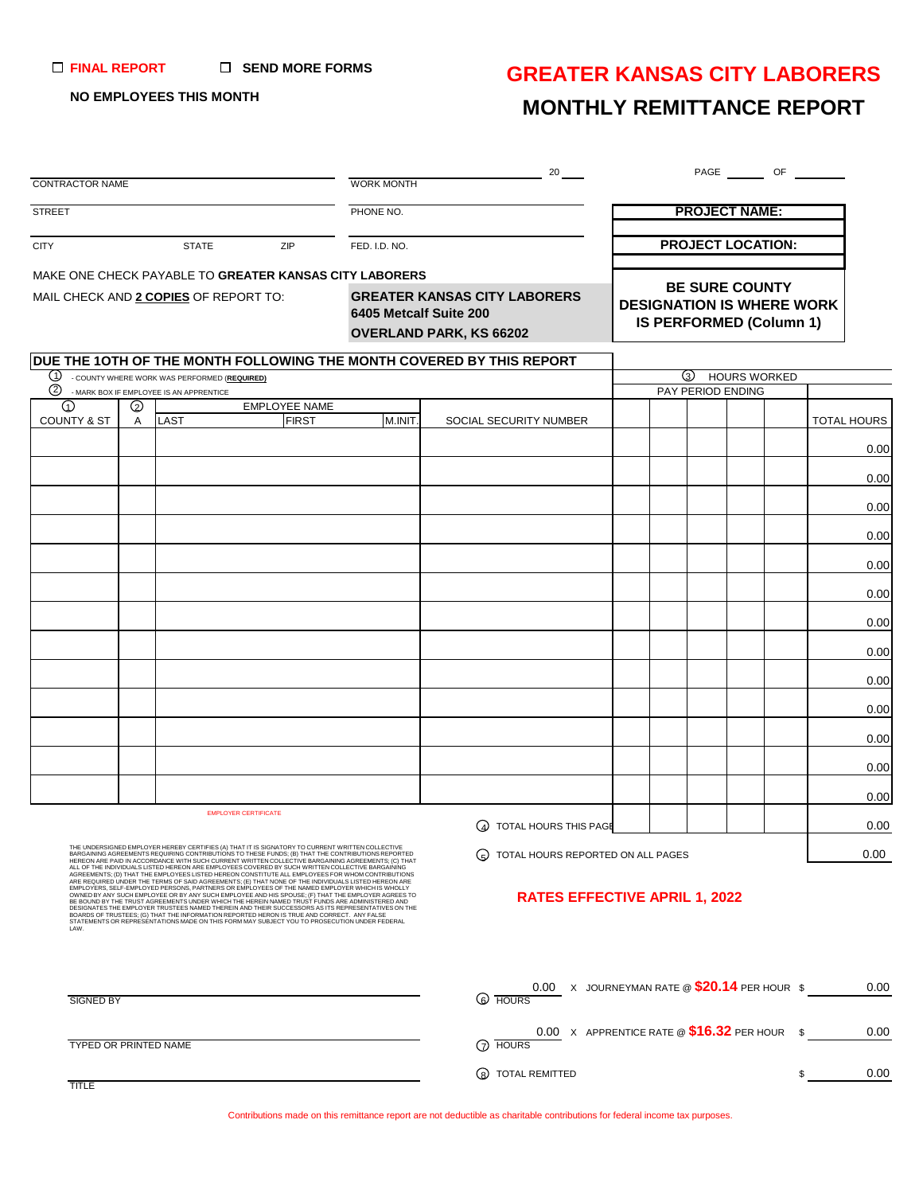#### **SEND MORE FORMS FINAL REPORT**

### **GREATER KANSAS CITY LABORERS**

### **NO EMPLOYEES THIS MONTH**

## **MONTHLY REMITTANCE REPORT**

| <b>CONTRACTOR NAME</b>                |              |                                                                                         |                                                                                                                                                                                                                                                                                                                                                                                                                                                                                                                                                                                                                                                                                                                                                                                                                                                                                                                                             | <b>WORK MONTH</b>                                                                        | $20$ $-$                                                                             |  |                          | PAGE OF                                      |             |  |  |  |
|---------------------------------------|--------------|-----------------------------------------------------------------------------------------|---------------------------------------------------------------------------------------------------------------------------------------------------------------------------------------------------------------------------------------------------------------------------------------------------------------------------------------------------------------------------------------------------------------------------------------------------------------------------------------------------------------------------------------------------------------------------------------------------------------------------------------------------------------------------------------------------------------------------------------------------------------------------------------------------------------------------------------------------------------------------------------------------------------------------------------------|------------------------------------------------------------------------------------------|--------------------------------------------------------------------------------------|--|--------------------------|----------------------------------------------|-------------|--|--|--|
|                                       |              |                                                                                         |                                                                                                                                                                                                                                                                                                                                                                                                                                                                                                                                                                                                                                                                                                                                                                                                                                                                                                                                             |                                                                                          |                                                                                      |  |                          |                                              |             |  |  |  |
| <b>STREET</b>                         |              |                                                                                         |                                                                                                                                                                                                                                                                                                                                                                                                                                                                                                                                                                                                                                                                                                                                                                                                                                                                                                                                             | PHONE NO.                                                                                | <b>PROJECT NAME:</b>                                                                 |  |                          |                                              |             |  |  |  |
| <b>CITY</b>                           |              | <b>STATE</b>                                                                            | ZIP                                                                                                                                                                                                                                                                                                                                                                                                                                                                                                                                                                                                                                                                                                                                                                                                                                                                                                                                         | FED. I.D. NO.                                                                            |                                                                                      |  | <b>PROJECT LOCATION:</b> |                                              |             |  |  |  |
|                                       |              |                                                                                         | MAKE ONE CHECK PAYABLE TO GREATER KANSAS CITY LABORERS                                                                                                                                                                                                                                                                                                                                                                                                                                                                                                                                                                                                                                                                                                                                                                                                                                                                                      |                                                                                          |                                                                                      |  |                          |                                              |             |  |  |  |
| MAIL CHECK AND 2 COPIES OF REPORT TO: |              |                                                                                         |                                                                                                                                                                                                                                                                                                                                                                                                                                                                                                                                                                                                                                                                                                                                                                                                                                                                                                                                             | <b>GREATER KANSAS CITY LABORERS</b><br>6405 Metcalf Suite 200<br>OVERLAND PARK, KS 66202 | <b>BE SURE COUNTY</b><br><b>DESIGNATION IS WHERE WORK</b><br>IS PERFORMED (Column 1) |  |                          |                                              |             |  |  |  |
|                                       |              |                                                                                         |                                                                                                                                                                                                                                                                                                                                                                                                                                                                                                                                                                                                                                                                                                                                                                                                                                                                                                                                             |                                                                                          | DUE THE 10TH OF THE MONTH FOLLOWING THE MONTH COVERED BY THIS REPORT                 |  |                          |                                              |             |  |  |  |
| (1)<br>(2)                            |              | - COUNTY WHERE WORK WAS PERFORMED (REQUIRED)<br>- MARK BOX IF EMPLOYEE IS AN APPRENTICE |                                                                                                                                                                                                                                                                                                                                                                                                                                                                                                                                                                                                                                                                                                                                                                                                                                                                                                                                             |                                                                                          |                                                                                      |  |                          | $\circ$<br>HOURS WORKED<br>PAY PERIOD ENDING |             |  |  |  |
| $\Omega$<br><b>COUNTY &amp; ST</b>    | $\odot$<br>A | <b>LAST</b>                                                                             | <b>EMPLOYEE NAME</b><br><b>FIRST</b>                                                                                                                                                                                                                                                                                                                                                                                                                                                                                                                                                                                                                                                                                                                                                                                                                                                                                                        | M.INIT.                                                                                  | SOCIAL SECURITY NUMBER                                                               |  |                          |                                              | TOTAL HOURS |  |  |  |
|                                       |              |                                                                                         |                                                                                                                                                                                                                                                                                                                                                                                                                                                                                                                                                                                                                                                                                                                                                                                                                                                                                                                                             |                                                                                          |                                                                                      |  |                          |                                              | 0.00        |  |  |  |
|                                       |              |                                                                                         |                                                                                                                                                                                                                                                                                                                                                                                                                                                                                                                                                                                                                                                                                                                                                                                                                                                                                                                                             |                                                                                          |                                                                                      |  |                          |                                              | 0.00        |  |  |  |
|                                       |              |                                                                                         |                                                                                                                                                                                                                                                                                                                                                                                                                                                                                                                                                                                                                                                                                                                                                                                                                                                                                                                                             |                                                                                          |                                                                                      |  |                          |                                              | 0.00        |  |  |  |
|                                       |              |                                                                                         |                                                                                                                                                                                                                                                                                                                                                                                                                                                                                                                                                                                                                                                                                                                                                                                                                                                                                                                                             |                                                                                          |                                                                                      |  |                          |                                              | 0.00        |  |  |  |
|                                       |              |                                                                                         |                                                                                                                                                                                                                                                                                                                                                                                                                                                                                                                                                                                                                                                                                                                                                                                                                                                                                                                                             |                                                                                          |                                                                                      |  |                          |                                              | 0.00        |  |  |  |
|                                       |              |                                                                                         |                                                                                                                                                                                                                                                                                                                                                                                                                                                                                                                                                                                                                                                                                                                                                                                                                                                                                                                                             |                                                                                          |                                                                                      |  |                          |                                              | 0.00        |  |  |  |
|                                       |              |                                                                                         |                                                                                                                                                                                                                                                                                                                                                                                                                                                                                                                                                                                                                                                                                                                                                                                                                                                                                                                                             |                                                                                          |                                                                                      |  |                          |                                              | 0.00        |  |  |  |
|                                       |              |                                                                                         |                                                                                                                                                                                                                                                                                                                                                                                                                                                                                                                                                                                                                                                                                                                                                                                                                                                                                                                                             |                                                                                          |                                                                                      |  |                          |                                              | 0.00        |  |  |  |
|                                       |              |                                                                                         |                                                                                                                                                                                                                                                                                                                                                                                                                                                                                                                                                                                                                                                                                                                                                                                                                                                                                                                                             |                                                                                          |                                                                                      |  |                          |                                              | 0.00        |  |  |  |
|                                       |              |                                                                                         |                                                                                                                                                                                                                                                                                                                                                                                                                                                                                                                                                                                                                                                                                                                                                                                                                                                                                                                                             |                                                                                          |                                                                                      |  |                          |                                              | 0.00        |  |  |  |
|                                       |              |                                                                                         |                                                                                                                                                                                                                                                                                                                                                                                                                                                                                                                                                                                                                                                                                                                                                                                                                                                                                                                                             |                                                                                          |                                                                                      |  |                          |                                              | 0.00        |  |  |  |
|                                       |              |                                                                                         |                                                                                                                                                                                                                                                                                                                                                                                                                                                                                                                                                                                                                                                                                                                                                                                                                                                                                                                                             |                                                                                          |                                                                                      |  |                          |                                              | 0.00        |  |  |  |
|                                       |              |                                                                                         |                                                                                                                                                                                                                                                                                                                                                                                                                                                                                                                                                                                                                                                                                                                                                                                                                                                                                                                                             |                                                                                          |                                                                                      |  |                          |                                              | 0.00        |  |  |  |
|                                       |              |                                                                                         | <b>EMPLOYER CERTIFICATE</b>                                                                                                                                                                                                                                                                                                                                                                                                                                                                                                                                                                                                                                                                                                                                                                                                                                                                                                                 |                                                                                          | (4) TOTAL HOURS THIS PAGE                                                            |  |                          |                                              | 0.00        |  |  |  |
|                                       |              |                                                                                         | THE UNDERSIGNED EMPLOYER HEREBY CERTIFIES (A) THAT IT IS SIGNATORY TO CURRENT WRITTEN COLLECTIVE<br>BARGAINING AGREEMENTS REQUIRING CONTRIBUTIONS TO THESE FUNDS; (B) THAT THE CONTRIBUTIONS REPORTED<br>HEREON ARE PAID IN ACCORDANCE WITH SUCH CURRENT WRITTEN COLLECTIVE BARGAINING AGREEMENTS; (C) THAT                                                                                                                                                                                                                                                                                                                                                                                                                                                                                                                                                                                                                                 |                                                                                          | (G) TOTAL HOURS REPORTED ON ALL PAGES                                                |  |                          |                                              | 0.00        |  |  |  |
|                                       |              |                                                                                         | ALL OF THE INDIVIDUALS LISTED HEREON ARE EMPLOYEES COVERED BY SUCH WRITTEN COLLECTIVE BARGAINING<br>AGREEMENTS; (D) THAT THE EMPLOYEES LISTED HEREON CONSTITUTE ALL EMPLOYEES FOR WHOM CONTRIBUTIONS ARE REQUIRED UNDER THE TERMS OF SAID AGREEMENTS; (E) THAT NONE OF SAID AGREEMENTS; (E) THAT NONE OF THE INDIVIDUALS LISTED HE<br>EMPLOYERS, SELF-EMPLOYED PERSONS, PARTNERS OR EMPLOYEES OF THE NAMED EMPLOYER WHICH IS WHOLLY<br>OWNED BY ANY SUCH EMPLOYEE OR BY ANY SUCH EMPLOYEE AND HIS SPOUSE; (F) THAT THE EMPLOYER AGREES TO<br>BE BOUND BY THE TRUST AGREEMENTS UNDER WHICH THE HEREIN NAMED TRUST FUNDS ARE ADMINISTERED AND<br>DESIGNATES THE EMPLOYER TRUSTEES NAMED THEREIN AND THEIR SUCCESSORS AS ITS REPRESENTATIVES ON THE<br>BOARDS OF TRUSTEES; (G) THAT THE INFORMATION REPORTED HERON IS TRUE AND CORRECT. ANY FALSE STATEMENTS OR REPRESENTATIONS MADE ON THIS FORM MAY SUBJECT YOU TO PROSECUTION UNDER FEDERAL |                                                                                          | <b>RATES EFFECTIVE APRIL 1, 2022</b>                                                 |  |                          |                                              |             |  |  |  |

#### **RATES EFFECTIVE APRIL 1, 2022**

| SIGNED BY             | JOURNEYMAN RATE @ \$20.14 PER HOUR \$<br>0.00<br>$\mathsf{X}$<br>$\omega$ HOURS | 0.00 |
|-----------------------|---------------------------------------------------------------------------------|------|
| TYPED OR PRINTED NAME | 0.00 X APPRENTICE RATE @ $$16.32$ PER HOUR<br>$\odot$ HOURS                     | 0.00 |
| TITI E                | (R) TOTAL REMITTED                                                              | 0.00 |

Contributions made on this remittance report are not deductible as charitable contributions for federal income tax purposes.